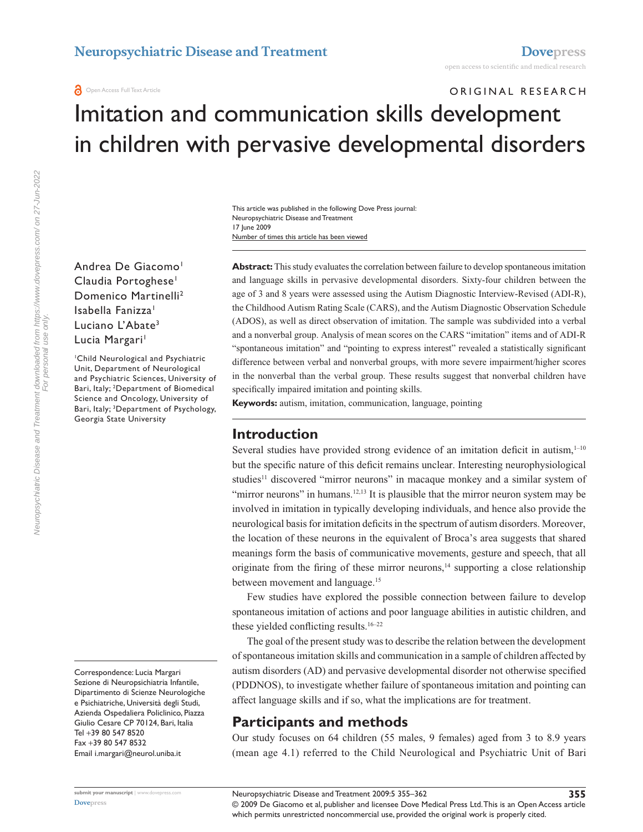## ORIGINAL RESEARCH

# Imitation and communication skills development in children with pervasive developmental disorders

Number of times this article has been viewed This article was published in the following Dove Press journal: Neuropsychiatric Disease and Treatment 17 June 2009

Andrea De Giacomo<sup>1</sup> Claudia Portoghese<sup>1</sup> Domenico Martinelli2 Isabella Fanizza<sup>1</sup> Luciano L'Abate<sup>3</sup> Lucia Margari<sup>1</sup>

1 Child Neurological and Psychiatric Unit, Department of Neurological and Psychiatric Sciences, University of Bari, Italy; 2 Department of Biomedical Science and Oncology, University of Bari, Italy; <sup>3</sup>Department of Psychology, Georgia State University

Correspondence: Lucia Margari Sezione di Neuropsichiatria Infantile, Dipartimento di Scienze Neurologiche e Psichiatriche, Università degli Studi, Azienda Ospedaliera Policlinico, Piazza Giulio Cesare CP 70124, Bari, Italia Tel +39 80 547 8520 Fax +39 80 547 8532 Email i.margari@neurol.uniba.it

**Abstract:** This study evaluates the correlation between failure to develop spontaneous imitation and language skills in pervasive developmental disorders. Sixty-four children between the age of 3 and 8 years were assessed using the Autism Diagnostic Interview-Revised (ADI-R), the Childhood Autism Rating Scale (CARS), and the Autism Diagnostic Observation Schedule (ADOS), as well as direct observation of imitation. The sample was subdivided into a verbal and a nonverbal group. Analysis of mean scores on the CARS "imitation" items and of ADI-R "spontaneous imitation" and "pointing to express interest" revealed a statistically significant difference between verbal and nonverbal groups, with more severe impairment/higher scores in the nonverbal than the verbal group. These results suggest that nonverbal children have specifically impaired imitation and pointing skills.

**Keywords:** autism, imitation, communication, language, pointing

#### **Introduction**

Several studies have provided strong evidence of an imitation deficit in autism, $1-10$ but the specific nature of this deficit remains unclear. Interesting neurophysiological studies<sup>11</sup> discovered "mirror neurons" in macaque monkey and a similar system of "mirror neurons" in humans.<sup>12,13</sup> It is plausible that the mirror neuron system may be involved in imitation in typically developing individuals, and hence also provide the neurological basis for imitation deficits in the spectrum of autism disorders. Moreover, the location of these neurons in the equivalent of Broca's area suggests that shared meanings form the basis of communicative movements, gesture and speech, that all originate from the firing of these mirror neurons, $14$  supporting a close relationship between movement and language.<sup>15</sup>

Few studies have explored the possible connection between failure to develop spontaneous imitation of actions and poor language abilities in autistic children, and these yielded conflicting results.16–22

The goal of the present study was to describe the relation between the development of spontaneous imitation skills and communication in a sample of children affected by autism disorders (AD) and pervasive developmental disorder not otherwise specified (PDDNOS), to investigate whether failure of spontaneous imitation and pointing can affect language skills and if so, what the implications are for treatment.

# **Participants and methods**

Our study focuses on 64 children (55 males, 9 females) aged from 3 to 8.9 years (mean age 4.1) referred to the Child Neurological and Psychiatric Unit of Bari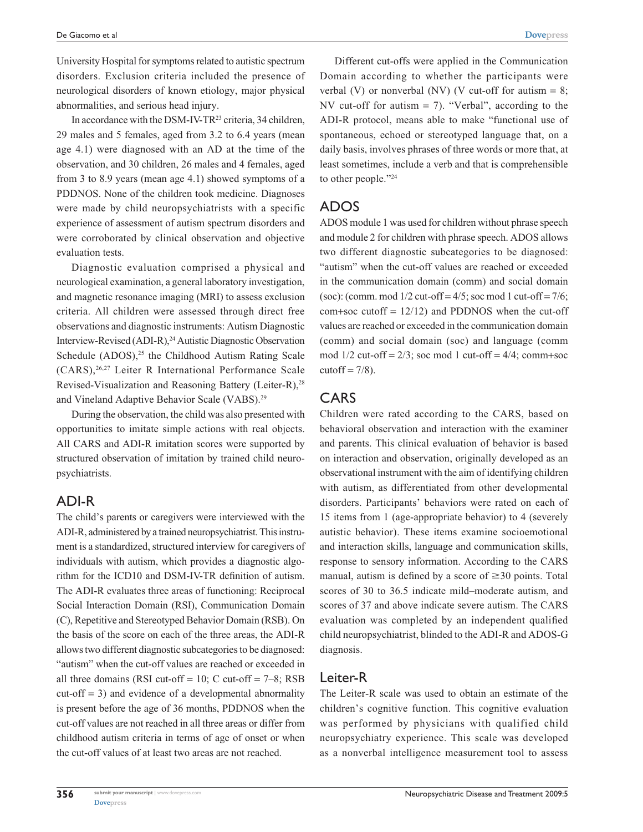University Hospital for symptoms related to autistic spectrum disorders. Exclusion criteria included the presence of neurological disorders of known etiology, major physical abnormalities, and serious head injury.

In accordance with the DSM-IV-TR23 criteria, 34 children, 29 males and 5 females, aged from 3.2 to 6.4 years (mean age 4.1) were diagnosed with an AD at the time of the observation, and 30 children, 26 males and 4 females, aged from 3 to 8.9 years (mean age 4.1) showed symptoms of a PDDNOS. None of the children took medicine. Diagnoses were made by child neuropsychiatrists with a specific experience of assessment of autism spectrum disorders and were corroborated by clinical observation and objective evaluation tests.

Diagnostic evaluation comprised a physical and neurological examination, a general laboratory investigation, and magnetic resonance imaging (MRI) to assess exclusion criteria. All children were assessed through direct free observations and diagnostic instruments: Autism Diagnostic Interview-Revised (ADI-R),<sup>24</sup> Autistic Diagnostic Observation Schedule (ADOS),<sup>25</sup> the Childhood Autism Rating Scale (CARS),26,27 Leiter R International Performance Scale Revised-Visualization and Reasoning Battery (Leiter-R),<sup>28</sup> and Vineland Adaptive Behavior Scale (VABS).<sup>29</sup>

During the observation, the child was also presented with opportunities to imitate simple actions with real objects. All CARS and ADI-R imitation scores were supported by structured observation of imitation by trained child neuropsychiatrists.

#### ADI-R

The child's parents or caregivers were interviewed with the ADI-R, administered by a trained neuropsychiatrist. This instrument is a standardized, structured interview for caregivers of individuals with autism, which provides a diagnostic algorithm for the ICD10 and DSM-IV-TR definition of autism. The ADI-R evaluates three areas of functioning: Reciprocal Social Interaction Domain (RSI), Communication Domain (C), Repetitive and Stereotyped Behavior Domain (RSB). On the basis of the score on each of the three areas, the ADI-R allows two different diagnostic subcategories to be diagnosed: "autism" when the cut-off values are reached or exceeded in all three domains (RSI cut-off = 10; C cut-off =  $7-8$ ; RSB  $cut-off = 3$ ) and evidence of a developmental abnormality is present before the age of 36 months, PDDNOS when the cut-off values are not reached in all three areas or differ from childhood autism criteria in terms of age of onset or when the cut-off values of at least two areas are not reached.

Different cut-offs were applied in the Communication Domain according to whether the participants were verbal (V) or nonverbal (NV) (V cut-off for autism  $= 8$ ; NV cut-off for autism  $= 7$ ). "Verbal", according to the ADI-R protocol, means able to make "functional use of spontaneous, echoed or stereotyped language that, on a daily basis, involves phrases of three words or more that, at least sometimes, include a verb and that is comprehensible to other people."<sup>24</sup>

#### ADOS

ADOS module 1 was used for children without phrase speech and module 2 for children with phrase speech. ADOS allows two different diagnostic subcategories to be diagnosed: "autism" when the cut-off values are reached or exceeded in the communication domain (comm) and social domain (soc): (comm. mod  $1/2$  cut-off =  $4/5$ ; soc mod 1 cut-off =  $7/6$ ; com+soc cutoff  $= 12/12$ ) and PDDNOS when the cut-off values are reached or exceeded in the communication domain (comm) and social domain (soc) and language (comm mod  $1/2$  cut-off =  $2/3$ ; soc mod 1 cut-off =  $4/4$ ; comm+soc  $\text{cutoff} = 7/8$ ).

## CARS

Children were rated according to the CARS, based on behavioral observation and interaction with the examiner and parents. This clinical evaluation of behavior is based on interaction and observation, originally developed as an observational instrument with the aim of identifying children with autism, as differentiated from other developmental disorders. Participants' behaviors were rated on each of 15 items from 1 (age-appropriate behavior) to 4 (severely autistic behavior). These items examine socioemotional and interaction skills, language and communication skills, response to sensory information. According to the CARS manual, autism is defined by a score of  $\geq 30$  points. Total scores of 30 to 36.5 indicate mild–moderate autism, and scores of 37 and above indicate severe autism. The CARS evaluation was completed by an independent qualified child neuropsychiatrist, blinded to the ADI-R and ADOS-G diagnosis.

#### Leiter-R

The Leiter-R scale was used to obtain an estimate of the children's cognitive function. This cognitive evaluation was performed by physicians with qualified child neuropsychiatry experience. This scale was developed as a nonverbal intelligence measurement tool to assess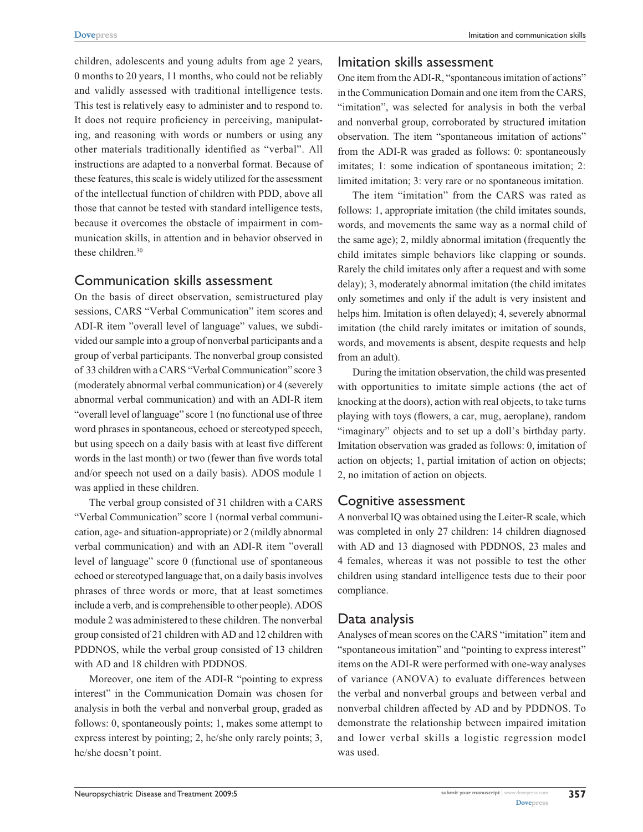children, adolescents and young adults from age 2 years, 0 months to 20 years, 11 months, who could not be reliably and validly assessed with traditional intelligence tests. This test is relatively easy to administer and to respond to. It does not require proficiency in perceiving, manipulating, and reasoning with words or numbers or using any other materials traditionally identified as "verbal". All instructions are adapted to a nonverbal format. Because of these features, this scale is widely utilized for the assessment of the intellectual function of children with PDD, above all those that cannot be tested with standard intelligence tests, because it overcomes the obstacle of impairment in communication skills, in attention and in behavior observed in these children.30

## Communication skills assessment

On the basis of direct observation, semistructured play sessions, CARS "Verbal Communication" item scores and ADI-R item "overall level of language" values, we subdivided our sample into a group of nonverbal participants and a group of verbal participants. The nonverbal group consisted of 33 children with a CARS "Verbal Communication" score 3 (moderately abnormal verbal communication) or 4 (severely abnormal verbal communication) and with an ADI-R item "overall level of language" score 1 (no functional use of three word phrases in spontaneous, echoed or stereotyped speech, but using speech on a daily basis with at least five different words in the last month) or two (fewer than five words total and/or speech not used on a daily basis). ADOS module 1 was applied in these children.

The verbal group consisted of 31 children with a CARS "Verbal Communication" score 1 (normal verbal communication, age- and situation-appropriate) or 2 (mildly abnormal verbal communication) and with an ADI-R item "overall level of language" score 0 (functional use of spontaneous echoed or stereotyped language that, on a daily basis involves phrases of three words or more, that at least sometimes include a verb, and is comprehensible to other people). ADOS module 2 was administered to these children. The nonverbal group consisted of 21 children with AD and 12 children with PDDNOS, while the verbal group consisted of 13 children with AD and 18 children with PDDNOS.

Moreover, one item of the ADI-R "pointing to express interest" in the Communication Domain was chosen for analysis in both the verbal and nonverbal group, graded as follows: 0, spontaneously points; 1, makes some attempt to express interest by pointing; 2, he/she only rarely points; 3, he/she doesn't point.

#### Imitation skills assessment

One item from the ADI-R, "spontaneous imitation of actions" in the Communication Domain and one item from the CARS, "imitation", was selected for analysis in both the verbal and nonverbal group, corroborated by structured imitation observation. The item "spontaneous imitation of actions" from the ADI-R was graded as follows: 0: spontaneously imitates; 1: some indication of spontaneous imitation; 2: limited imitation; 3: very rare or no spontaneous imitation.

The item "imitation" from the CARS was rated as follows: 1, appropriate imitation (the child imitates sounds, words, and movements the same way as a normal child of the same age); 2, mildly abnormal imitation (frequently the child imitates simple behaviors like clapping or sounds. Rarely the child imitates only after a request and with some delay); 3, moderately abnormal imitation (the child imitates only sometimes and only if the adult is very insistent and helps him. Imitation is often delayed); 4, severely abnormal imitation (the child rarely imitates or imitation of sounds, words, and movements is absent, despite requests and help from an adult).

During the imitation observation, the child was presented with opportunities to imitate simple actions (the act of knocking at the doors), action with real objects, to take turns playing with toys (flowers, a car, mug, aeroplane), random "imaginary" objects and to set up a doll's birthday party. Imitation observation was graded as follows: 0, imitation of action on objects; 1, partial imitation of action on objects; 2, no imitation of action on objects.

## Cognitive assessment

A nonverbal IQ was obtained using the Leiter-R scale, which was completed in only 27 children: 14 children diagnosed with AD and 13 diagnosed with PDDNOS, 23 males and 4 females, whereas it was not possible to test the other children using standard intelligence tests due to their poor compliance.

# Data analysis

Analyses of mean scores on the CARS "imitation" item and "spontaneous imitation" and "pointing to express interest" items on the ADI-R were performed with one-way analyses of variance (ANOVA) to evaluate differences between the verbal and nonverbal groups and between verbal and nonverbal children affected by AD and by PDDNOS. To demonstrate the relationship between impaired imitation and lower verbal skills a logistic regression model was used.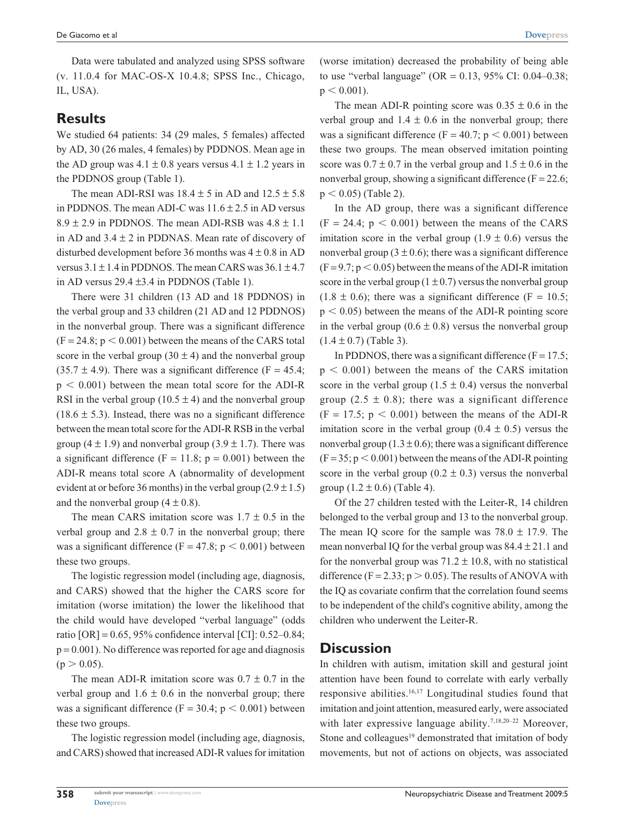Data were tabulated and analyzed using SPSS software (v. 11.0.4 for MAC-OS-X 10.4.8; SPSS Inc., Chicago, IL, USA).

#### **Results**

We studied 64 patients: 34 (29 males, 5 females) affected by AD, 30 (26 males, 4 females) by PDDNOS. Mean age in the AD group was  $4.1 \pm 0.8$  years versus  $4.1 \pm 1.2$  years in the PDDNOS group (Table 1).

The mean ADI-RSI was  $18.4 \pm 5$  in AD and  $12.5 \pm 5.8$ in PDDNOS. The mean ADI-C was  $11.6 \pm 2.5$  in AD versus  $8.9 \pm 2.9$  in PDDNOS. The mean ADI-RSB was  $4.8 \pm 1.1$ in AD and  $3.4 \pm 2$  in PDDNAS. Mean rate of discovery of disturbed development before 36 months was  $4 \pm 0.8$  in AD versus  $3.1 \pm 1.4$  in PDDNOS. The mean CARS was  $36.1 \pm 4.7$ in AD versus 29.4 ±3.4 in PDDNOS (Table 1).

There were 31 children (13 AD and 18 PDDNOS) in the verbal group and 33 children (21 AD and 12 PDDNOS) in the nonverbal group. There was a significant difference  $(F = 24.8; p < 0.001)$  between the means of the CARS total score in the verbal group  $(30 \pm 4)$  and the nonverbal group  $(35.7 \pm 4.9)$ . There was a significant difference (F = 45.4;  $p < 0.001$ ) between the mean total score for the ADI-R RSI in the verbal group  $(10.5 \pm 4)$  and the nonverbal group  $(18.6 \pm 5.3)$ . Instead, there was no a significant difference between the mean total score for the ADI-R RSB in the verbal group  $(4 \pm 1.9)$  and nonverbal group  $(3.9 \pm 1.7)$ . There was a significant difference ( $F = 11.8$ ;  $p = 0.001$ ) between the ADI-R means total score A (abnormality of development evident at or before 36 months) in the verbal group  $(2.9 \pm 1.5)$ and the nonverbal group  $(4 \pm 0.8)$ .

The mean CARS imitation score was  $1.7 \pm 0.5$  in the verbal group and  $2.8 \pm 0.7$  in the nonverbal group; there was a significant difference (F = 47.8;  $p < 0.001$ ) between these two groups.

The logistic regression model (including age, diagnosis, and CARS) showed that the higher the CARS score for imitation (worse imitation) the lower the likelihood that the child would have developed "verbal language" (odds ratio [OR] = 0.65, 95% confidence interval [CI]: 0.52–0.84;  $p = 0.001$ ). No difference was reported for age and diagnosis  $(p > 0.05)$ .

The mean ADI-R imitation score was  $0.7 \pm 0.7$  in the verbal group and  $1.6 \pm 0.6$  in the nonverbal group; there was a significant difference (F = 30.4;  $p < 0.001$ ) between these two groups.

The logistic regression model (including age, diagnosis, and CARS) showed that increased ADI-R values for imitation (worse imitation) decreased the probability of being able to use "verbal language" (OR =  $0.13$ , 95% CI: 0.04–0.38;  $p < 0.001$ ).

The mean ADI-R pointing score was  $0.35 \pm 0.6$  in the verbal group and  $1.4 \pm 0.6$  in the nonverbal group; there was a significant difference (F = 40.7;  $p < 0.001$ ) between these two groups. The mean observed imitation pointing score was  $0.7 \pm 0.7$  in the verbal group and  $1.5 \pm 0.6$  in the nonverbal group, showing a significant difference  $(F = 22.6;$  $p < 0.05$ ) (Table 2).

In the AD group, there was a significant difference  $(F = 24.4; p < 0.001)$  between the means of the CARS imitation score in the verbal group  $(1.9 \pm 0.6)$  versus the nonverbal group  $(3 \pm 0.6)$ ; there was a significant difference  $(F = 9.7; p < 0.05)$  between the means of the ADI-R imitation score in the verbal group  $(1 \pm 0.7)$  versus the nonverbal group  $(1.8 \pm 0.6)$ ; there was a significant difference (F = 10.5;  $p < 0.05$ ) between the means of the ADI-R pointing score in the verbal group  $(0.6 \pm 0.8)$  versus the nonverbal group  $(1.4 \pm 0.7)$  (Table 3).

In PDDNOS, there was a significant difference ( $F = 17.5$ ;  $p < 0.001$ ) between the means of the CARS imitation score in the verbal group  $(1.5 \pm 0.4)$  versus the nonverbal group (2.5  $\pm$  0.8); there was a significant difference  $(F = 17.5; p < 0.001)$  between the means of the ADI-R imitation score in the verbal group  $(0.4 \pm 0.5)$  versus the nonverbal group  $(1.3 \pm 0.6)$ ; there was a significant difference  $(F = 35; p < 0.001)$  between the means of the ADI-R pointing score in the verbal group  $(0.2 \pm 0.3)$  versus the nonverbal group  $(1.2 \pm 0.6)$  (Table 4).

Of the 27 children tested with the Leiter-R, 14 children belonged to the verbal group and 13 to the nonverbal group. The mean IQ score for the sample was  $78.0 \pm 17.9$ . The mean nonverbal IQ for the verbal group was  $84.4 \pm 21.1$  and for the nonverbal group was  $71.2 \pm 10.8$ , with no statistical difference (F = 2.33;  $p > 0.05$ ). The results of ANOVA with the IQ as covariate confirm that the correlation found seems to be independent of the child's cognitive ability, among the children who underwent the Leiter-R.

#### **Discussion**

In children with autism, imitation skill and gestural joint attention have been found to correlate with early verbally responsive abilities.16,17 Longitudinal studies found that imitation and joint attention, measured early, were associated with later expressive language ability.<sup>7,18,20–22</sup> Moreover, Stone and colleagues<sup>19</sup> demonstrated that imitation of body movements, but not of actions on objects, was associated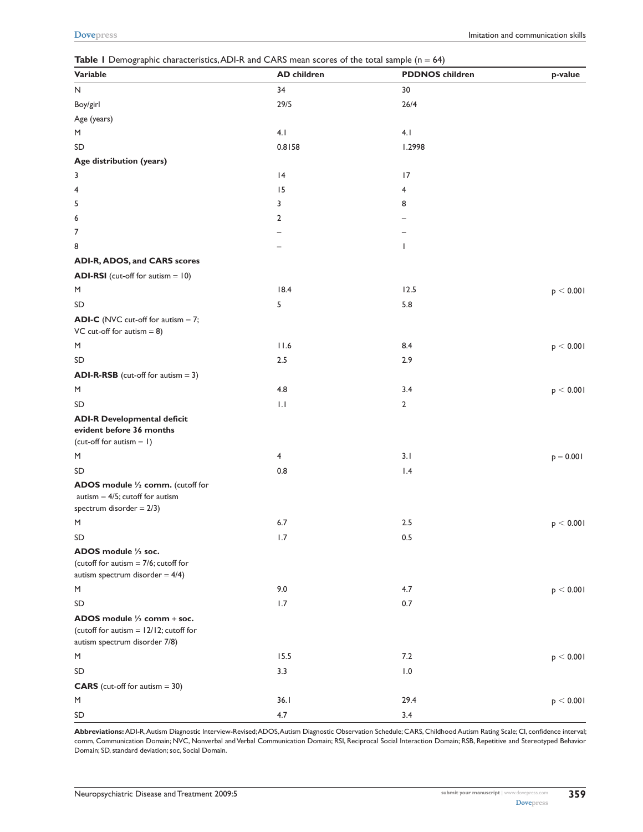| <b>Variable</b>                                                                                                     | <b>AD</b> children | <b>PDDNOS</b> children | p-value     |
|---------------------------------------------------------------------------------------------------------------------|--------------------|------------------------|-------------|
| Ν                                                                                                                   | 34                 | 30                     |             |
| Boy/girl                                                                                                            | 29/5               | 26/4                   |             |
| Age (years)                                                                                                         |                    |                        |             |
| M                                                                                                                   | 4.1                | 4.1                    |             |
| SD                                                                                                                  | 0.8158             | 1.2998                 |             |
| Age distribution (years)                                                                                            |                    |                        |             |
| 3                                                                                                                   | 4                  | 17                     |             |
| 4                                                                                                                   | 15                 | 4                      |             |
| 5                                                                                                                   | 3                  | 8                      |             |
| 6                                                                                                                   | 2                  |                        |             |
| 7                                                                                                                   |                    |                        |             |
| 8                                                                                                                   |                    | $\mathbf{I}$           |             |
| ADI-R, ADOS, and CARS scores                                                                                        |                    |                        |             |
| <b>ADI-RSI</b> (cut-off for autism $= 10$ )                                                                         |                    |                        |             |
| M                                                                                                                   | 18.4               | 12.5                   | p < 0.001   |
| SD                                                                                                                  | 5                  | 5.8                    |             |
| <b>ADI-C</b> (NVC cut-off for autism $= 7$ ;<br>VC cut-off for autism $= 8$ )                                       |                    |                        |             |
| M                                                                                                                   | 11.6               | 8.4                    | p < 0.001   |
| SD                                                                                                                  | 2.5                | 2.9                    |             |
| <b>ADI-R-RSB</b> (cut-off for autism $= 3$ )                                                                        |                    |                        |             |
| M                                                                                                                   | 4.8                | 3.4                    | p < 0.001   |
| SD                                                                                                                  | $\vert . \vert$    | $\overline{2}$         |             |
| <b>ADI-R Developmental deficit</b><br>evident before 36 months<br>$(cut-off for autism = 1)$                        |                    |                        |             |
| M                                                                                                                   | 4                  | 3.1                    | $p = 0.001$ |
| SD                                                                                                                  | 0.8                | 1.4                    |             |
| ADOS module 1/2 comm. (cutoff for<br>$autism = 4/5$ ; cutoff for autism<br>spectrum disorder = $2/3$ )              |                    |                        |             |
| M                                                                                                                   | $6.7$              | 2.5                    | p < 0.001   |
| SD                                                                                                                  | 1.7                | 0.5                    |             |
| ADOS module 1/2 soc.<br>(cutoff for autism $= 7/6$ ; cutoff for<br>autism spectrum disorder = $4/4$ )               |                    |                        |             |
| M                                                                                                                   | 9.0                | 4.7                    | p < 0.001   |
| SD                                                                                                                  | 1.7                | 0.7                    |             |
| ADOS module $\frac{1}{2}$ comm + soc.<br>(cutoff for autism = $12/12$ ; cutoff for<br>autism spectrum disorder 7/8) |                    |                        |             |
| M                                                                                                                   | 15.5               | 7.2                    | p < 0.001   |
| SD                                                                                                                  | 3.3                | 1.0                    |             |
| <b>CARS</b> (cut-off for autism $= 30$ )                                                                            |                    |                        |             |
| M                                                                                                                   | 36.1               | 29.4                   | p < 0.001   |
| SD                                                                                                                  | 4.7                | 3.4                    |             |

**Abbreviations:** ADI-R, Autism Diagnostic Interview-Revised; ADOS, Autism Diagnostic Observation Schedule; CARS, Childhood Autism Rating Scale; CI, confidence interval; comm, Communication Domain; NVC, Nonverbal and Verbal Communication Domain; RSI, Reciprocal Social Interaction Domain; RSB, Repetitive and Stereotyped Behavior Domain; SD, standard deviation; soc, Social Domain.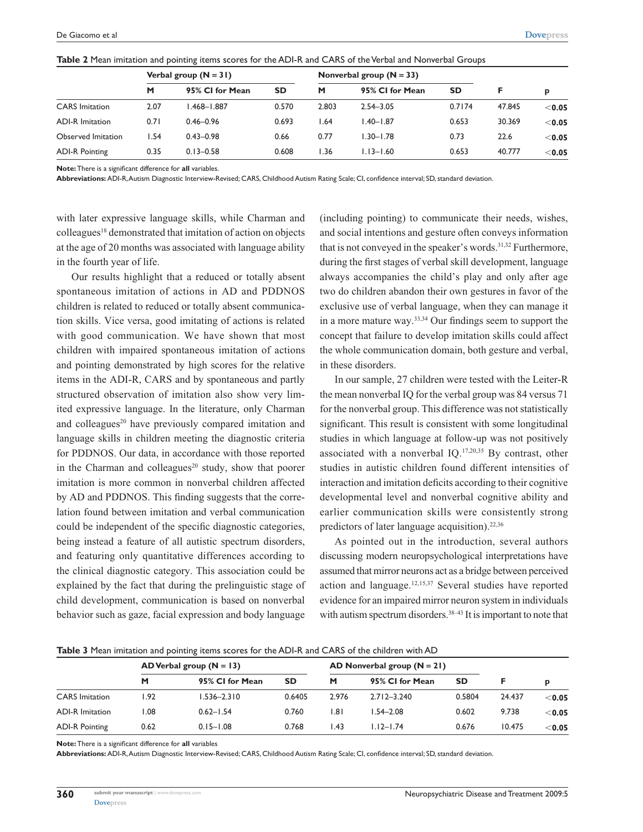|                        | Verbal group $(N = 31)$ |                 | Nonverbal group $(N = 33)$ |       |                 |           |        |          |
|------------------------|-------------------------|-----------------|----------------------------|-------|-----------------|-----------|--------|----------|
|                        | м                       | 95% CI for Mean | <b>SD</b>                  | M     | 95% CI for Mean | <b>SD</b> |        | p        |
| <b>CARS</b> Imitation  | 2.07                    | $.468 - 1.887$  | 0.570                      | 2.803 | $2.54 - 3.05$   | 0.7174    | 47.845 | $<$ 0.05 |
| <b>ADI-R</b> Imitation | 0.71                    | $0.46 - 0.96$   | 0.693                      | .64   | $1.40 - 1.87$   | 0.653     | 30.369 | $<$ 0.05 |
| Observed Imitation     | l.54                    | $0.43 - 0.98$   | 0.66                       | 0.77  | $1.30 - 1.78$   | 0.73      | 22.6   | $<$ 0.05 |
| <b>ADI-R Pointing</b>  | 0.35                    | $0.13 - 0.58$   | 0.608                      | I.36  | $1.13 - 1.60$   | 0.653     | 40.777 | $<$ 0.05 |

| <b>Table 2</b> Mean imitation and pointing items scores for the ADI-R and CARS of the Verbal and Nonverbal Groups |  |  |  |  |
|-------------------------------------------------------------------------------------------------------------------|--|--|--|--|
|-------------------------------------------------------------------------------------------------------------------|--|--|--|--|

**Note:** There is a significant difference for **all** variables.

**Abbreviations:** ADI-R, Autism Diagnostic Interview-Revised; CARS, Childhood Autism Rating Scale; CI, confidence interval; SD, standard deviation.

with later expressive language skills, while Charman and colleagues<sup>18</sup> demonstrated that imitation of action on objects at the age of 20 months was associated with language ability in the fourth year of life.

Our results highlight that a reduced or totally absent spontaneous imitation of actions in AD and PDDNOS children is related to reduced or totally absent communication skills. Vice versa, good imitating of actions is related with good communication. We have shown that most children with impaired spontaneous imitation of actions and pointing demonstrated by high scores for the relative items in the ADI-R, CARS and by spontaneous and partly structured observation of imitation also show very limited expressive language. In the literature, only Charman and colleagues $20$  have previously compared imitation and language skills in children meeting the diagnostic criteria for PDDNOS. Our data, in accordance with those reported in the Charman and colleagues $20$  study, show that poorer imitation is more common in nonverbal children affected by AD and PDDNOS. This finding suggests that the correlation found between imitation and verbal communication could be independent of the specific diagnostic categories, being instead a feature of all autistic spectrum disorders, and featuring only quantitative differences according to the clinical diagnostic category. This association could be explained by the fact that during the prelinguistic stage of child development, communication is based on nonverbal behavior such as gaze, facial expression and body language (including pointing) to communicate their needs, wishes, and social intentions and gesture often conveys information that is not conveyed in the speaker's words.<sup>31,32</sup> Furthermore, during the first stages of verbal skill development, language always accompanies the child's play and only after age two do children abandon their own gestures in favor of the exclusive use of verbal language, when they can manage it in a more mature way.33,34 Our findings seem to support the concept that failure to develop imitation skills could affect the whole communication domain, both gesture and verbal, in these disorders.

In our sample, 27 children were tested with the Leiter-R the mean nonverbal IQ for the verbal group was 84 versus 71 for the nonverbal group. This difference was not statistically significant. This result is consistent with some longitudinal studies in which language at follow-up was not positively associated with a nonverbal IQ.17,20,35 By contrast, other studies in autistic children found different intensities of interaction and imitation deficits according to their cognitive developmental level and nonverbal cognitive ability and earlier communication skills were consistently strong predictors of later language acquisition).<sup>22,36</sup>

As pointed out in the introduction, several authors discussing modern neuropsychological interpretations have assumed that mirror neurons act as a bridge between perceived action and language.12,15,37 Several studies have reported evidence for an impaired mirror neuron system in individuals with autism spectrum disorders.<sup>38-43</sup> It is important to note that

**Table 3** Mean imitation and pointing items scores for the ADI-R and CARS of the children with AD

|                        | AD Verbal group $(N = 13)$ |                 |        | AD Nonverbal group $(N = 21)$ |                 |        |        |          |
|------------------------|----------------------------|-----------------|--------|-------------------------------|-----------------|--------|--------|----------|
|                        | М                          | 95% CI for Mean | SD     | M                             | 95% CI for Mean | SD     |        |          |
| <b>CARS</b> Imitation  | 1.92                       | $1.536 - 2.310$ | 0.6405 | 2.976                         | $2.712 - 3.240$ | 0.5804 | 24.437 | < 0.05   |
| <b>ADI-R</b> Imitation | 0.1                        | $0.62 - 1.54$   | 0.760  | l 81                          | $1.54 - 2.08$   | 0.602  | 9.738  | $<$ 0.05 |
| <b>ADI-R Pointing</b>  | 0.62                       | $0.15 - 1.08$   | 0.768  | l.43                          | $1.12 - 1.74$   | 0.676  | 10.475 | $<$ 0.05 |

**Note:** There is a significant difference for **all** variables

**Abbreviations:** ADI-R, Autism Diagnostic Interview-Revised; CARS, Childhood Autism Rating Scale; CI, confidence interval; SD, standard deviation.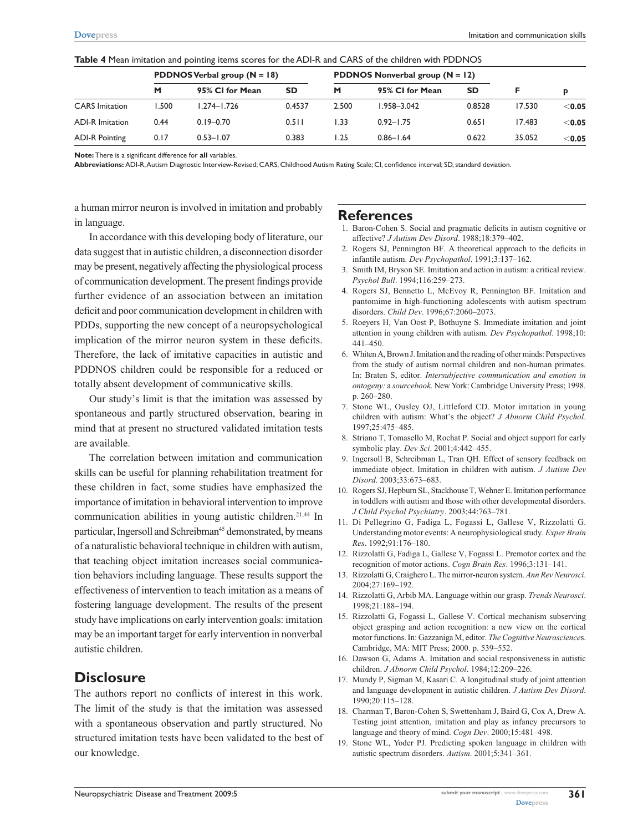|                        | <b>PDDNOS Verbal group (<math>N = 18</math>)</b> |                 |           | <b>PDDNOS Nonverbal group (<math>N = 12</math>)</b> |                 |           |        |          |
|------------------------|--------------------------------------------------|-----------------|-----------|-----------------------------------------------------|-----------------|-----------|--------|----------|
|                        | М                                                | 95% CI for Mean | <b>SD</b> | м                                                   | 95% CI for Mean | <b>SD</b> |        | D        |
| <b>CARS</b> Imitation  | .500                                             | 1.274–1.726     | 0.4537    | 2.500                                               | l.958–3.042     | 0.8528    | 17.530 | $<$ 0.05 |
| <b>ADI-R</b> Imitation | 0.44                                             | $0.19 - 0.70$   | 0.511     | .33                                                 | $0.92 - 1.75$   | 0.651     | 17.483 | $<$ 0.05 |
| <b>ADI-R Pointing</b>  | 0.17                                             | $0.53 - 1.07$   | 0.383     | .25                                                 | $0.86 - 1.64$   | 0.622     | 35.052 | $<$ 0.05 |

**Table 4** Mean imitation and pointing items scores for the ADI-R and CARS of the children with PDDNOS

**Note:** There is a significant difference for **all** variables.

**Abbreviations:** ADI-R, Autism Diagnostic Interview-Revised; CARS, Childhood Autism Rating Scale; CI, confidence interval; SD, standard deviation.

a human mirror neuron is involved in imitation and probably in language.

In accordance with this developing body of literature, our data suggest that in autistic children, a disconnection disorder may be present, negatively affecting the physiological process of communication development. The present findings provide further evidence of an association between an imitation deficit and poor communication development in children with PDDs, supporting the new concept of a neuropsychological implication of the mirror neuron system in these deficits. Therefore, the lack of imitative capacities in autistic and PDDNOS children could be responsible for a reduced or totally absent development of communicative skills.

Our study's limit is that the imitation was assessed by spontaneous and partly structured observation, bearing in mind that at present no structured validated imitation tests are available.

The correlation between imitation and communication skills can be useful for planning rehabilitation treatment for these children in fact, some studies have emphasized the importance of imitation in behavioral intervention to improve communication abilities in young autistic children.<sup>21,44</sup> In particular, Ingersoll and Schreibman<sup>45</sup> demonstrated, by means of a naturalistic behavioral technique in children with autism, that teaching object imitation increases social communication behaviors including language. These results support the effectiveness of intervention to teach imitation as a means of fostering language development. The results of the present study have implications on early intervention goals: imitation may be an important target for early intervention in nonverbal autistic children.

## **Disclosure**

The authors report no conflicts of interest in this work. The limit of the study is that the imitation was assessed with a spontaneous observation and partly structured. No structured imitation tests have been validated to the best of our knowledge.

#### **References**

- 1. Baron-Cohen S. Social and pragmatic deficits in autism cognitive or affective? *J Autism Dev Disord*. 1988;18:379–402.
- 2. Rogers SJ, Pennington BF. A theoretical approach to the deficits in infantile autism. *Dev Psychopathol*. 1991;3:137–162.
- 3. Smith IM, Bryson SE. Imitation and action in autism: a critical review. *Psychol Bull*. 1994;116:259–273.
- 4. Rogers SJ, Bennetto L, McEvoy R, Pennington BF. Imitation and pantomime in high-functioning adolescents with autism spectrum disorders. *Child Dev*. 1996;67:2060–2073.
- 5. Roeyers H, Van Oost P, Bothuyne S. Immediate imitation and joint attention in young children with autism. *Dev Psychopathol*. 1998;10: 441–450.
- 6. Whiten A, Brown J. Imitation and the reading of other minds: Perspectives from the study of autism normal children and non-human primates. In: Braten S, editor. *Intersubjective communication and emotion in ontogeny:* a *sourcebook*. New York: Cambridge University Press; 1998. p. 260–280.
- 7. Stone WL, Ousley OJ, Littleford CD. Motor imitation in young children with autism: What's the object? *J Abnorm Child Psychol*. 1997;25:475–485.
- 8. Striano T, Tomasello M, Rochat P. Social and object support for early symbolic play. *Dev Sci*. 2001;4:442–455.
- 9. Ingersoll B, Schreibman L, Tran QH. Effect of sensory feedback on immediate object. Imitation in children with autism. *J Autism Dev Disord*. 2003;33:673–683.
- 10. Rogers SJ, Hepburn SL, Stackhouse T, Wehner E. Imitation performance in toddlers with autism and those with other developmental disorders. *J Child Psychol Psychiatry*. 2003;44:763–781.
- 11. Di Pellegrino G, Fadiga L, Fogassi L, Gallese V, Rizzolatti G. Understanding motor events: A neurophysiological study. *Exper Brain Res*. 1992;91:176–180.
- 12. Rizzolatti G, Fadiga L, Gallese V, Fogassi L. Premotor cortex and the recognition of motor actions. *Cogn Brain Res*. 1996;3:131–141.
- 13. Rizzolatti G, Craighero L. The mirror-neuron system. *Ann Rev Neurosci*. 2004;27:169–192.
- 14. Rizzolatti G, Arbib MA. Language within our grasp. *Trends Neurosci*. 1998;21:188–194.
- 15. Rizzolatti G, Fogassi L, Gallese V. Cortical mechanism subserving object grasping and action recognition: a new view on the cortical motor functions. In: Gazzaniga M, editor. *The Cognitive Neuroscience*s. Cambridge, MA: MIT Press; 2000. p. 539–552.
- 16. Dawson G, Adams A. Imitation and social responsiveness in autistic children. *J Abnorm Child Psychol*. 1984;12:209–226.
- 17. Mundy P, Sigman M, Kasari C. A longitudinal study of joint attention and language development in autistic children. *J Autism Dev Disord*. 1990;20:115–128.
- 18. Charman T, Baron-Cohen S, Swettenham J, Baird G, Cox A, Drew A. Testing joint attention, imitation and play as infancy precursors to language and theory of mind. *Cogn Dev*. 2000;15:481–498.
- 19. Stone WL, Yoder PJ. Predicting spoken language in children with autistic spectrum disorders. *Autism*. 2001;5:341–361.